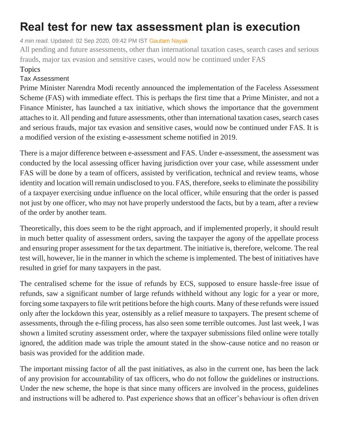## **Real test for new tax assessment plan is execution**

*4 min read.* Updated: 02 Sep 2020, 09:42 PM IST [Gautam Nayak](https://www.livemint.com/Search/Link/Author/Gautam-Nayak)

All pending and future assessments, other than international taxation cases, search cases and serious frauds, major tax evasion and sensitive cases, would now be continued under FAS

## Topics

## Tax [Assessment](https://www.livemint.com/topic/tax-assesment)

Prime Minister Narendra Modi recently announced the implementation of the Faceless Assessment Scheme (FAS) with immediate effect. This is perhaps the first time that a Prime Minister, and not a Finance Minister, has launched a tax initiative, which shows the importance that the government attaches to it. All pending and future assessments, other than international taxation cases, search cases and serious frauds, major tax evasion and sensitive cases, would now be continued under FAS. It is a modified version of the existing e-assessment scheme notified in 2019.

There is a major difference between e-assessment and FAS. Under e-assessment, the assessment was conducted by the local assessing officer having jurisdiction over your case, while assessment under FAS will be done by a team of officers, assisted by verification, technical and review teams, whose identity and location will remain undisclosed to you. FAS, therefore, seeks to eliminate the possibility of a taxpayer exercising undue influence on the local officer, while ensuring that the order is passed not just by one officer, who may not have properly understood the facts, but by a team, after a review of the order by another team.

Theoretically, this does seem to be the right approach, and if implemented properly, it should result in much better quality of assessment orders, saving the taxpayer the agony of the appellate process and ensuring proper assessment for the tax department. The initiative is, therefore, welcome. The real test will, however, lie in the manner in which the scheme is implemented. The best of initiatives have resulted in grief for many taxpayers in the past.

The centralised scheme for the issue of refunds by ECS, supposed to ensure hassle-free issue of refunds, saw a significant number of large refunds withheld without any logic for a year or more, forcing some taxpayers to file writ petitions before the high courts. Many of these refunds were issued only after the lockdown this year, ostensibly as a relief measure to taxpayers. The present scheme of assessments, through the e-filing process, has also seen some terrible outcomes. Just last week, I was shown a limited scrutiny assessment order, where the taxpayer submissions filed online were totally ignored, the addition made was triple the amount stated in the show-cause notice and no reason or basis was provided for the addition made.

The important missing factor of all the past initiatives, as also in the current one, has been the lack of any provision for accountability of tax officers, who do not follow the guidelines or instructions. Under the new scheme, the hope is that since many officers are involved in the process, guidelines and instructions will be adhered to. Past experience shows that an officer's behaviour is often driven